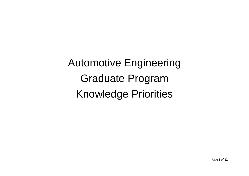Automotive Engineering Graduate Program Knowledge Priorities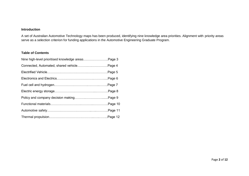## **Introduction**

A set of Australian Automotive Technology maps has been produced, identifying nine knowledge area priorities. Alignment with priority areas serve as a selection criterion for funding applications in the Automotive Engineering Graduate Program.

## **Table of Contents**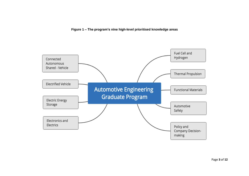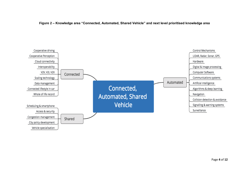

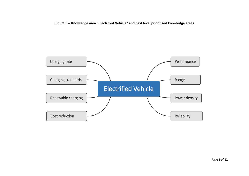**Figure 3 – Knowledge area "Electrified Vehicle" and next level prioritised knowledge areas**

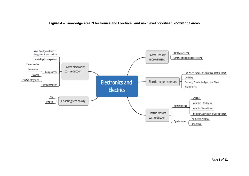

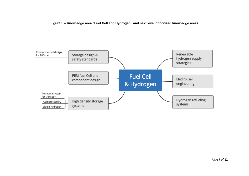**Figure 5 – Knowledge area "Fuel Cell and Hydrogen" and next level prioritised knowledge areas**

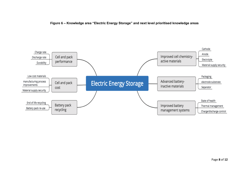

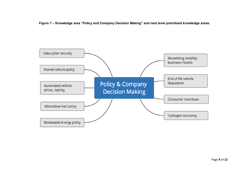**Figure 7 – Knowledge area "Policy and Company Decision Making" and next level prioritised knowledge areas.**

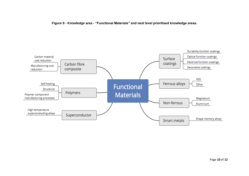

**Figure 8 - Knowledge area - "Functional Materials" and next level prioritised knowledge areas.**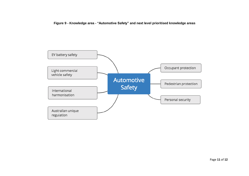**Figure 9 - Knowledge area - "Automotive Safety" and next level prioritised knowledge areas**